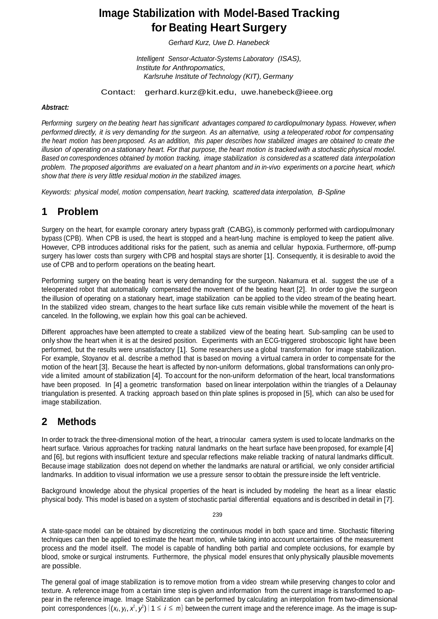# **Image Stabilization with Model-Based Tracking for Beating Heart Surgery**

*Gerhard Kurz, Uwe D. Hanebeck*

*Intelligent Sensor-Actuator-Systems Laboratory (ISAS), Institute for Anthropomatics, Karlsruhe Institute of Technology (KIT), Germany*

Contact: [gerhard.kurz@kit.edu,](mailto:gerhard.kurz@kit.edu) [uwe.hanebeck@ieee.org](mailto:gerhard.kurz@kit.edu)

#### *Abstract:*

*Performing surgery on the beating heart has significant advantages compared to cardiopulmonary bypass. However, when*  performed directly, it is very demanding for the surgeon. As an alternative, using a teleoperated robot for compensating the heart motion has been proposed. As an addition, this paper describes how stabilized images are obtained to create the illusion of operating on a stationary heart. For that purpose, the heart motion is tracked with a stochastic physical model. Based on correspondences obtained by motion tracking, image stabilization is considered as a scattered data interpolation problem. The proposed algorithms are evaluated on a heart phantom and in in-vivo experiments on a porcine heart, which *show that there is very little residual motion in the stabilized images.*

*Keywords: physical model, motion compensation, heart tracking, scattered data interpolation, B-Spline*

## **1 Problem**

Surgery on the heart, for example coronary artery bypass graft (CABG), is commonly performed with cardiopulmonary bypass (CPB). When CPB is used, the heart is stopped and a heart-lung machine is employed to keep the patient alive. However, CPB introduces additional risks for the patient, such as anemia and cellular hypoxia. Furthermore, off-pump surgery has lower costs than surgery with CPB and hospital stays are shorter [1]. Consequently, it is desirable to avoid the use of CPB and to perform operations on the beating heart.

Performing surgery on the beating heart is very demanding for the surgeon. Nakamura et al. suggest the use of a teleoperated robot that automatically compensated the movement of the beating heart [2]. In order to give the surgeon the illusion of operating on a stationary heart, image stabilization can be applied to the video stream of the beating heart. In the stabilized video stream, changes to the heart surface like cuts remain visible while the movement of the heart is canceled. In the following, we explain how this goal can be achieved.

Different approaches have been attempted to create a stabilized view of the beating heart. Sub-sampling can be used to only show the heart when it is at the desired position. Experiments with an ECG-triggered stroboscopic light have been performed, but the results were unsatisfactory [1]. Some researchers use a global transformation for image stabilization. For example, Stoyanov et al. describe a method that is based on moving a virtual camera in order to compensate for the motion of the heart [3]. Because the heart is affected by non-uniform deformations, global transformations can only provide a limited amount of stabilization [4]. To account for the non-uniform deformation of the heart, local transformations have been proposed. In [4] a geometric transformation based on linear interpolation within the triangles of a Delaunay triangulation is presented. A tracking approach based on thin plate splines is proposed in [5], which can also be used for image stabilization.

### **2 Methods**

In order to track the three-dimensional motion of the heart, a trinocular camera system is used to locate landmarks on the heart surface. Various approaches for tracking natural landmarks on the heart surface have been proposed, for example [4] and [6], but regions with insufficient texture and specular reflections make reliable tracking of natural landmarks difficult. Because image stabilization does not depend on whether the landmarks are natural or artificial, we only consider artificial landmarks. In addition to visual information we use a pressure sensor to obtain the pressure inside the left ventricle.

Background knowledge about the physical properties of the heart is included by modeling the heart as a linear elastic physical body. This model is based on a system of stochastic partial differential equations and is described in detail in [7].

A state-space model can be obtained by discretizing the continuous model in both space and time. Stochastic filtering techniques can then be applied to estimate the heart motion, while taking into account uncertainties of the measurement process and the model itself. The model is capable of handling both partial and complete occlusions, for example by blood, smoke or surgical instruments. Furthermore, the physical model ensures that only physically plausible movements are possible.

The general goal of image stabilization is to remove motion from a video stream while preserving changes to color and texture. A reference image from a certain time step is given and information from the current image is transformed to appear in the reference image. Image Stabilization can be performed by calculating an interpolation from two-dimensional point correspondences  $\{(x_i, y_i, x^t, y^t) | 1 \le i \le m\}$  between the current image and the reference image. As the image is sup-

239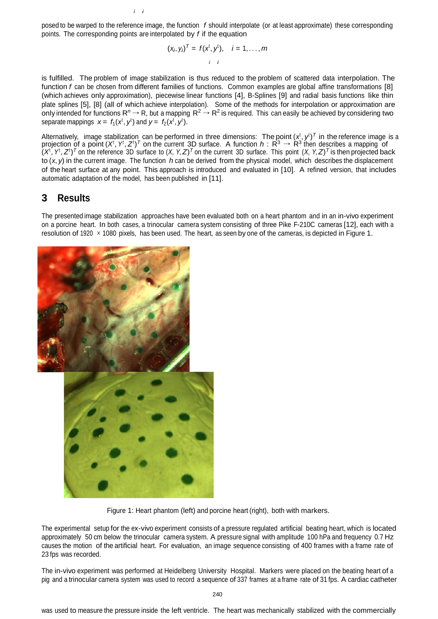posed to be warped to the reference image, the function *f* should interpolate (or at least approximate) these corresponding points. The corresponding points are interpolated by *f* if the equation

*i i*

$$
(x_i, y_i)^T = f(x^t, y^t), \quad i = 1, \ldots, m
$$

is fulfilled. The problem of image stabilization is thus reduced to the problem of scattered data interpolation. The function *f* can be chosen from different families of functions. Common examples are global affine transformations [8] (which achieves only approximation), piecewise linear functions [4], B-Splines [9] and radial basis functions like thin plate splines [5], [8] (all of which achieve interpolation). Some of the methods for interpolation or approximation are only intended for functions  $R^n \to R$ , but a mapping  $R^2 \to R^2$  is required. This can easily be achieved by considering two separate mappings  $x = f_1(x^t, y^t)$  and  $y = f_2(x^t, y^t)$ .

Alternatively, image stabilization can be performed in three dimensions: The point  $(x_1^t, y^t)^T$  in the reference image is a projection of a point  $(X^t, Y^t, Z^t)^T$  on the current 3D surface. A function  $h: R^3 \to R^3$  then describes a mapping of  $(X^t, Y^t, Z^t)^T$  on the reference 3D surface to  $(X, Y, Z)^T$  on the current 3D surface. This point  $(X, Y, Z)^T$  is then projected back to (*x*, *y*) in the current image. The function *h* can be derived from the physical model, which describes the displacement of the heart surface at any point. This approach is introduced and evaluated in [10]. A refined version, that includes automatic adaptation of the model, has been published in [11].

### **3 Results**

The presented image stabilization approaches have been evaluated both on a heart phantom and in an in-vivo experiment on a porcine heart. In both cases, a trinocular camera system consisting of three Pike F-210C cameras [12], each with a resolution of 1920 × 1080 pixels, has been used. The heart, as seen by one of the cameras, is depicted in Figure 1.



Figure 1: Heart phantom (left) and porcine heart (right), both with markers.

The experimental setup for the ex-vivo experiment consists of a pressure regulated artificial beating heart, which is located approximately 50 cm below the trinocular camera system. A pressure signal with amplitude 100 hPa and frequency 0.7 Hz causes the motion of the artificial heart. For evaluation, an image sequence consisting of 400 frames with a frame rate of 23 fps was recorded.

The in-vivo experiment was performed at Heidelberg University Hospital. Markers were placed on the beating heart of a pig and a trinocular camera system was used to record a sequence of 337 frames at a frame rate of 31 fps. A cardiac catheter

was used to measure the pressure inside the left ventricle. The heart was mechanically stabilized with the commercially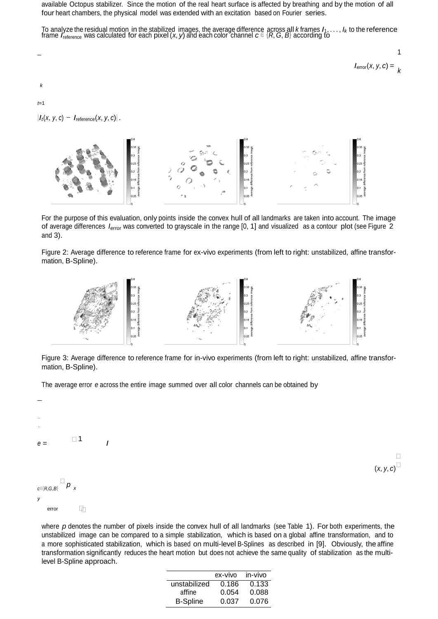available Octopus stabilizer. Since the motion of the real heart surface is affected by breathing and by the motion of all four heart chambers, the physical model was extended with an excitation based on Fourier series.

To analyze the residual motion in the stabilized images, the average difference across all *k* frames *I*1, . . . , *Ik* to the reference frame *I*reference was calculated for each pixel (*x*, *y*) and each color channel *c* <sup>∈</sup> {*R*, *G*, *B*} according to

$$
I_{\text{error}}(x, y, c) = \frac{1}{k}
$$

*t*=1

 $|I_t(x, y, c) - I_{\text{reference}}(x, y, c)|$ .



For the purpose of this evaluation, only points inside the convex hull of all landmarks are taken into account. The image of average differences *I*error was converted to grayscale in the range [0, 1] and visualized as a contour plot (see Figure 2 and 3).

Figure 2: Average difference to reference frame for ex-vivo experiments (from left to right: unstabilized, affine transformation, B-Spline).



Figure 3: Average difference to reference frame for in-vivo experiments (from left to right: unstabilized, affine transformation, B-Spline).

The average error *e* across the entire image summed over all color channels can be obtained by



where *p* denotes the number of pixels inside the convex hull of all landmarks (see Table 1). For both experiments, the unstabilized image can be compared to a simple stabilization, which is based on a global affine transformation, and to a more sophisticated stabilization, which is based on multi-level B-Splines as described in [9]. Obviously, the affine transformation significantly reduces the heart motion but does not achieve the same quality of stabilization as the multilevel B-Spline approach.

 $\Box$ 

 $(x, y, c)$ 

| ex-vivo | in-vivo |
|---------|---------|
| 0.186   | 0.133   |
| 0.054   | 0.088   |
| 0.037   | 0.076   |
|         |         |